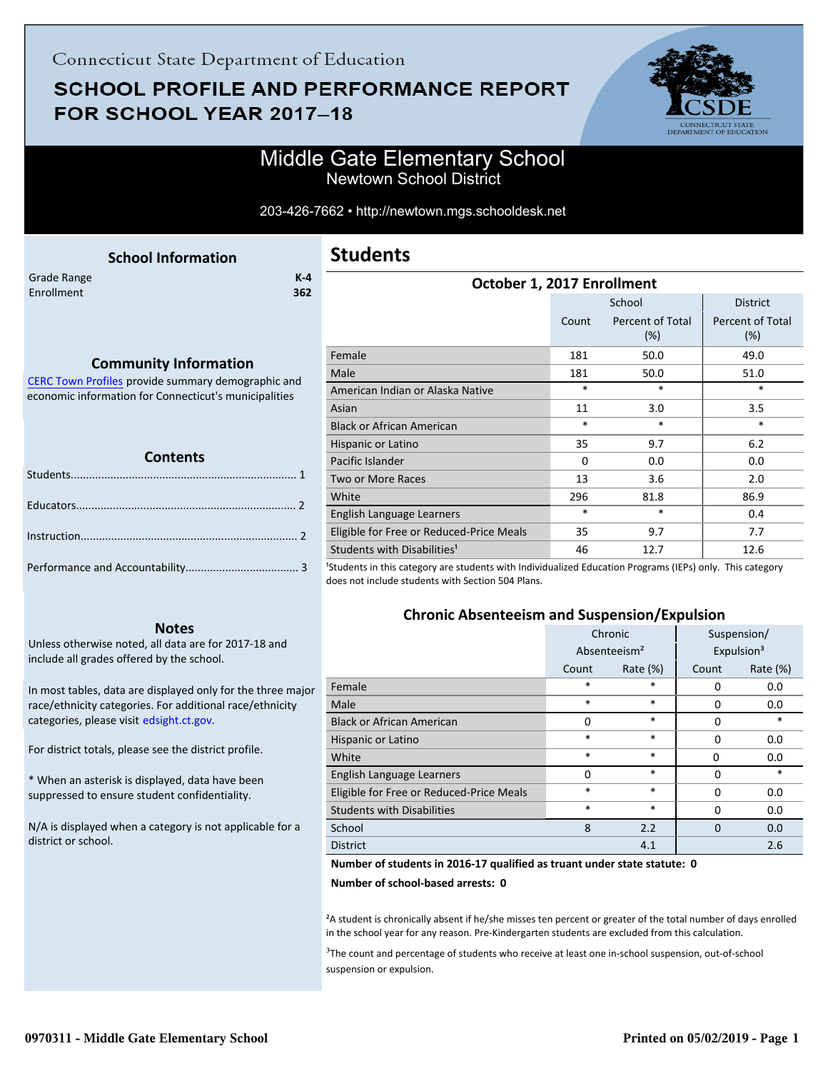# **SCHOOL PROFILE AND PERFORMANCE REPORT** FOR SCHOOL YEAR 2017-18



### Middle Gate Elementary School Newtown School District

#### 203-426-7662 • http://newtown.mgs.schooldesk.net

<span id="page-0-0"></span>

|                           | <b>School Information</b> |                |
|---------------------------|---------------------------|----------------|
| Grade Range<br>Enrollment |                           | $K - 4$<br>362 |
|                           |                           |                |
|                           |                           |                |

### **Community Information**

[CERC Town Profiles provide summary demographic and](http://www.cerc.com/townprofiles/) economic information for Connecticut's municipalities

#### **Contents**

#### **Notes**

Unless otherwise noted, all data are for 2017-18 and include all grades offered by the school.

[In most tables, data are displayed only for the three major](http://edsight.ct.gov/) race/ethnicity categories. For additional race/ethnicity categories, please visit edsight.ct.gov.

For district totals, please see the district profile.

\* When an asterisk is displayed, data have been suppressed to ensure student confidentiality.

N/A is displayed when a category is not applicable for a district or school.

### **Students**

| October 1, 2017 Enrollment                                                                                                                                                                                                                                                            |          |                            |                         |  |
|---------------------------------------------------------------------------------------------------------------------------------------------------------------------------------------------------------------------------------------------------------------------------------------|----------|----------------------------|-------------------------|--|
|                                                                                                                                                                                                                                                                                       |          | School                     | <b>District</b>         |  |
|                                                                                                                                                                                                                                                                                       | Count    | Percent of Total<br>$(\%)$ | Percent of Total<br>(%) |  |
| Female                                                                                                                                                                                                                                                                                | 181      | 50.0                       | 49.0                    |  |
| Male                                                                                                                                                                                                                                                                                  | 181      | 50.0                       | 51.0                    |  |
| American Indian or Alaska Native                                                                                                                                                                                                                                                      | $\ast$   | *                          | $\ast$                  |  |
| Asian                                                                                                                                                                                                                                                                                 | 11       | 3.0                        | 3.5                     |  |
| <b>Black or African American</b>                                                                                                                                                                                                                                                      | $\ast$   | *                          | $\ast$                  |  |
| Hispanic or Latino                                                                                                                                                                                                                                                                    | 35       | 9.7                        | 6.2                     |  |
| Pacific Islander                                                                                                                                                                                                                                                                      | $\Omega$ | 0.0                        | 0.0                     |  |
| Two or More Races                                                                                                                                                                                                                                                                     | 13       | 3.6                        | 2.0                     |  |
| White                                                                                                                                                                                                                                                                                 | 296      | 81.8                       | 86.9                    |  |
| English Language Learners                                                                                                                                                                                                                                                             | $\ast$   | *                          | 0.4                     |  |
| Eligible for Free or Reduced-Price Meals                                                                                                                                                                                                                                              | 35       | 9.7                        | 7.7                     |  |
| Students with Disabilities <sup>1</sup><br>$\mathcal{L}_{\mathcal{C}}$ , and the contract of the contract of the contract of the contract of the contract of the contract of the contract of the contract of the contract of the contract of the contract of the contract of the cont | 46       | 12.7                       | 12.6                    |  |

<sup>1</sup>Students in this category are students with Individualized Education Programs (IEPs) only. This category does not include students with Section 504 Plans.

### **Chronic Absenteeism and Suspension/Expulsion**

|                                          | Chronic                  |             | Suspension/ |                        |
|------------------------------------------|--------------------------|-------------|-------------|------------------------|
|                                          | Absenteeism <sup>2</sup> |             |             | Expulsion <sup>3</sup> |
|                                          | Count                    | Rate $(\%)$ | Count       | Rate (%)               |
| Female                                   | *                        | $\ast$      | $\Omega$    | 0.0                    |
| Male                                     | $\ast$                   | $\ast$      | $\Omega$    | 0.0                    |
| <b>Black or African American</b>         | 0                        | $\ast$      | $\Omega$    | *                      |
| Hispanic or Latino                       | $\ast$                   | $\ast$      | $\Omega$    | 0.0                    |
| White                                    | $\ast$                   | $\ast$      | 0           | 0.0                    |
| English Language Learners                | $\Omega$                 | $\ast$      | 0           | $\ast$                 |
| Eligible for Free or Reduced-Price Meals | $\ast$                   | $\ast$      | $\Omega$    | 0.0                    |
| <b>Students with Disabilities</b>        | $\ast$                   | $\ast$      | $\Omega$    | 0.0                    |
| School                                   | 8                        | 2.2         | $\Omega$    | 0.0                    |
| <b>District</b>                          |                          | 4.1         |             | 2.6                    |

#### **Number of students in 2016-17 qualified as truant under state statute: 0**

**Number of school-based arrests: 0**

<sup>2</sup>A student is chronically absent if he/she misses ten percent or greater of the total number of days enrolled in the school year for any reason. Pre-Kindergarten students are excluded from this calculation.

<sup>3</sup>The count and percentage of students who receive at least one in-school suspension, out-of-school suspension or expulsion.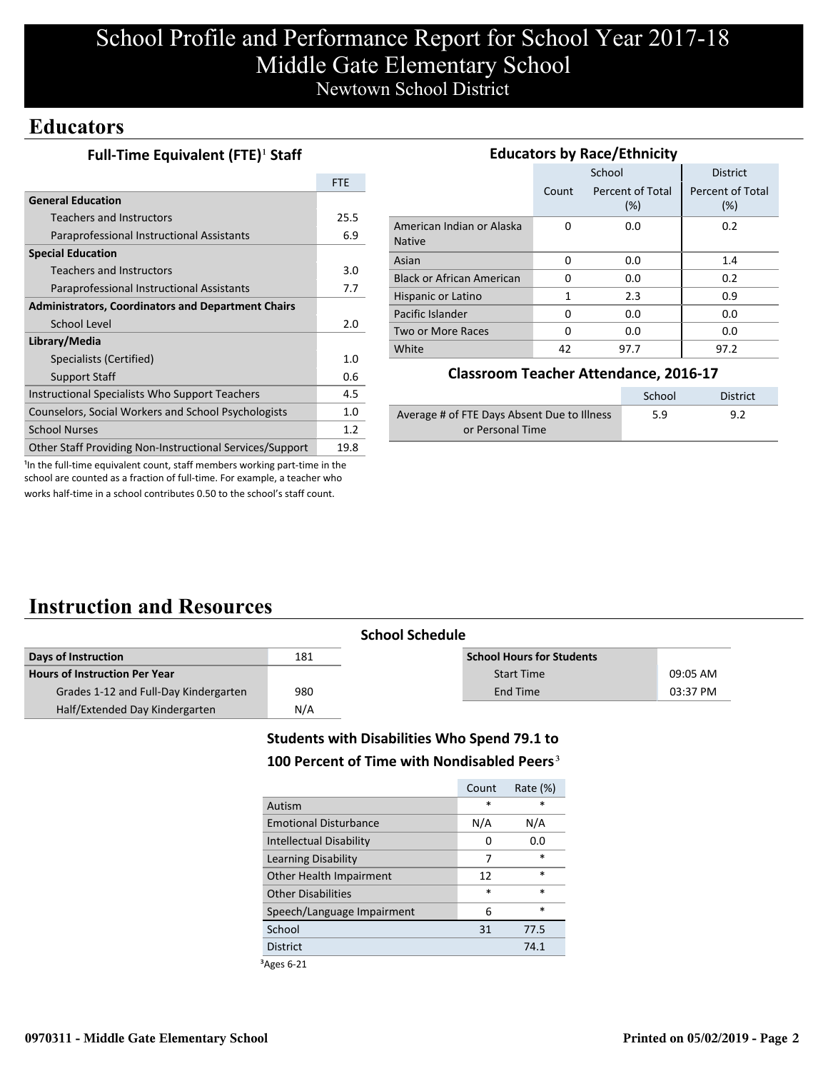# School Profile and Performance Report for School Year 2017-18 Middle Gate Elementary School Newtown School District

### **Educators**

|  | Full-Time Equivalent (FTE) <sup>1</sup> Staff |  |
|--|-----------------------------------------------|--|
|--|-----------------------------------------------|--|

|                                                           | <b>FTE</b> |
|-----------------------------------------------------------|------------|
| <b>General Education</b>                                  |            |
| Teachers and Instructors                                  | 25.5       |
| Paraprofessional Instructional Assistants                 | 6.9        |
| <b>Special Education</b>                                  |            |
| Teachers and Instructors                                  | 3.0        |
| Paraprofessional Instructional Assistants                 | 7.7        |
| <b>Administrators, Coordinators and Department Chairs</b> |            |
| School Level                                              | 2.0        |
| Library/Media                                             |            |
| Specialists (Certified)                                   | 1.0        |
| <b>Support Staff</b>                                      | 0.6        |
| Instructional Specialists Who Support Teachers            | 4.5        |
| Counselors, Social Workers and School Psychologists       | 1.0        |
| <b>School Nurses</b>                                      | 1.2        |
| Other Staff Providing Non-Instructional Services/Support  | 19.8       |

| <b>Educators by Race/Ethnicity</b>         |       |                         |                         |  |  |
|--------------------------------------------|-------|-------------------------|-------------------------|--|--|
|                                            |       | School                  | <b>District</b>         |  |  |
|                                            | Count | Percent of Total<br>(%) | Percent of Total<br>(%) |  |  |
| American Indian or Alaska<br><b>Native</b> | O     | 0.0                     | 0.2                     |  |  |
| Asian                                      | 0     | 0.0                     | 1.4                     |  |  |
| <b>Black or African American</b>           | O     | 0.0                     | 0.2                     |  |  |
| Hispanic or Latino                         | 1     | 2.3                     | 0.9                     |  |  |
| Pacific Islander                           | 0     | 0.0                     | 0.0                     |  |  |
| Two or More Races                          | 0     | 0.0                     | 0.0                     |  |  |
| White                                      | 42    | 97.7                    | 97.2                    |  |  |

### **Classroom Teacher Attendance, 2016-17**

|                                             | School | District |
|---------------------------------------------|--------|----------|
| Average # of FTE Days Absent Due to Illness | 5.9    | 9.2      |
| or Personal Time                            |        |          |

<sup>1</sup>In the full-time equivalent count, staff members working part-time in the school are counted as a fraction of full-time. For example, a teacher who works half-time in a school contributes 0.50 to the school's staff count.

## **Instruction and Resources**

|                                       | <b>School Schedule</b> |                                  |          |
|---------------------------------------|------------------------|----------------------------------|----------|
| Days of Instruction                   | 181                    | <b>School Hours for Students</b> |          |
| <b>Hours of Instruction Per Year</b>  |                        | <b>Start Time</b>                | 09:05 AM |
| Grades 1-12 and Full-Day Kindergarten | 980                    | End Time                         | 03:37 PM |
| Half/Extended Day Kindergarten        | N/A                    |                                  |          |

### **Students with Disabilities Who Spend 79.1 to**

### 100 Percent of Time with Nondisabled Peers<sup>3</sup>

|                              | Count  | Rate (%) |
|------------------------------|--------|----------|
| Autism                       | $\ast$ | ×        |
| <b>Emotional Disturbance</b> | N/A    | N/A      |
| Intellectual Disability      | 0      | 0.0      |
| Learning Disability          | 7      | $\ast$   |
| Other Health Impairment      | 12     | $\ast$   |
| <b>Other Disabilities</b>    | $\ast$ | $\ast$   |
| Speech/Language Impairment   | 6      | $\ast$   |
| School                       | 31     | 77.5     |
| <b>District</b>              |        | 74.1     |
|                              |        |          |

³Ages 6-21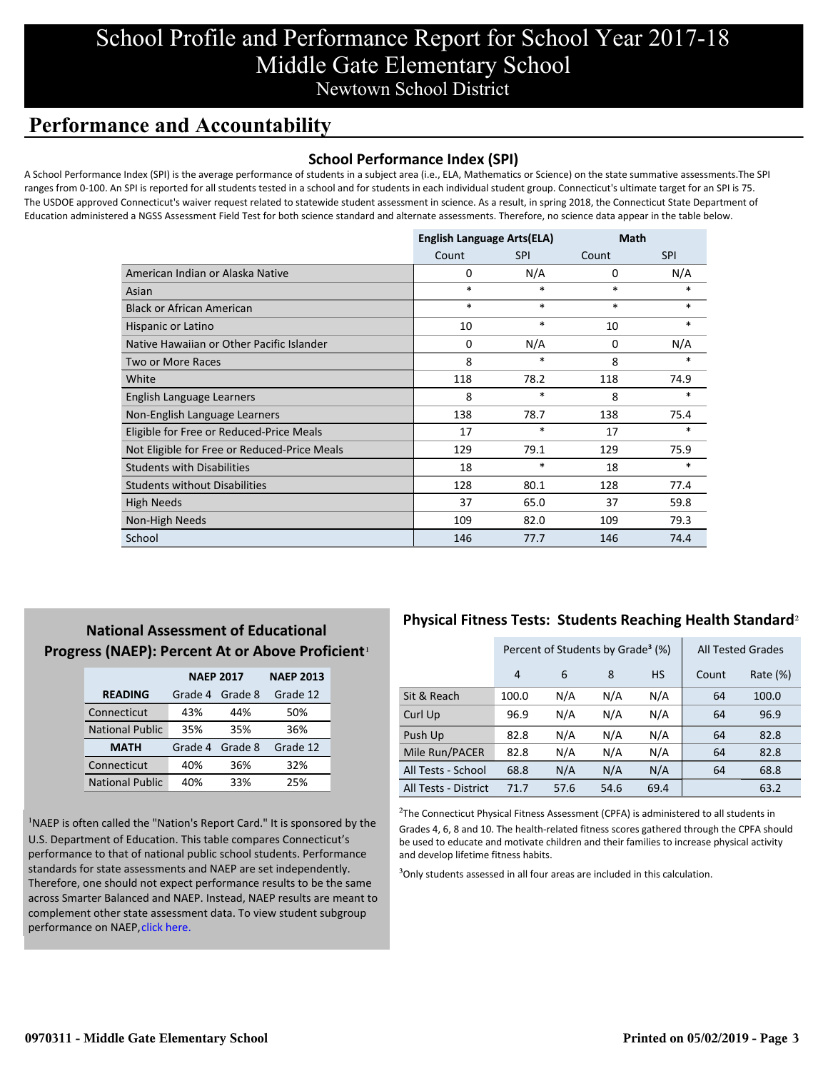## School Profile and Performance Report for School Year 2017-18 Middle Gate Elementary School Newtown School District

## **Performance and Accountability**

### **School Performance Index (SPI)**

A School Performance Index (SPI) is the average performance of students in a subject area (i.e., ELA, Mathematics or Science) on the state summative assessments.The SPI ranges from 0-100. An SPI is reported for all students tested in a school and for students in each individual student group. Connecticut's ultimate target for an SPI is 75. The USDOE approved Connecticut's waiver request related to statewide student assessment in science. As a result, in spring 2018, the Connecticut State Department of Education administered a NGSS Assessment Field Test for both science standard and alternate assessments. Therefore, no science data appear in the table below.

|                                              | <b>English Language Arts(ELA)</b> |            | Math   |            |
|----------------------------------------------|-----------------------------------|------------|--------|------------|
|                                              | Count                             | <b>SPI</b> | Count  | <b>SPI</b> |
| American Indian or Alaska Native             | 0                                 | N/A        | 0      | N/A        |
| Asian                                        | $\ast$                            | $\ast$     | $\ast$ | *          |
| <b>Black or African American</b>             | $\ast$                            | $\ast$     | $\ast$ | $*$        |
| Hispanic or Latino                           | 10                                | $\ast$     | 10     | $\ast$     |
| Native Hawaiian or Other Pacific Islander    | 0                                 | N/A        | 0      | N/A        |
| Two or More Races                            | 8                                 | $\ast$     | 8      | $\ast$     |
| White                                        | 118                               | 78.2       | 118    | 74.9       |
| English Language Learners                    | 8                                 | $\ast$     | 8      | $*$        |
| Non-English Language Learners                | 138                               | 78.7       | 138    | 75.4       |
| Eligible for Free or Reduced-Price Meals     | 17                                | $\ast$     | 17     | $\ast$     |
| Not Eligible for Free or Reduced-Price Meals | 129                               | 79.1       | 129    | 75.9       |
| <b>Students with Disabilities</b>            | 18                                | $\ast$     | 18     | $\ast$     |
| <b>Students without Disabilities</b>         | 128                               | 80.1       | 128    | 77.4       |
| <b>High Needs</b>                            | 37                                | 65.0       | 37     | 59.8       |
| Non-High Needs                               | 109                               | 82.0       | 109    | 79.3       |
| School                                       | 146                               | 77.7       | 146    | 74.4       |

### **National Assessment of Educational Progress (NAEP): Percent At or Above Proficient**<sup>1</sup>

|                        | <b>NAEP 2017</b> | <b>NAEP 2013</b> |          |
|------------------------|------------------|------------------|----------|
| <b>READING</b>         | Grade 4          | Grade 8          | Grade 12 |
| Connecticut            | 43%              | 44%              | 50%      |
| <b>National Public</b> | 35%              | 35%              | 36%      |
| <b>MATH</b>            | Grade 4          | Grade 8          | Grade 12 |
| Connecticut            | 40%              | 36%              | 32%      |
| <b>National Public</b> | 40%              | 33%              | 25%      |

<sup>1</sup>NAEP is often called the "Nation's Report Card." It is sponsored by the U.S. Department of Education. This table compares Connecticut's performance to that of national public school students. Performance standards for state assessments and NAEP are set independently. Therefore, one should not expect performance results to be the same [across Smarter Balanced and NAEP. Instead, NAEP results are meant to](https://portal.ct.gov/-/media/SDE/Student-Assessment/NAEP/report-card_NAEP-2017.pdf?la=en) complement other state assessment data. To view student subgroup performance on NAEP, click here.

### **Physical Fitness Tests: Students Reaching Health Standard**²

|                      | Percent of Students by Grade <sup>3</sup> (%) |      |      |           | <b>All Tested Grades</b> |             |
|----------------------|-----------------------------------------------|------|------|-----------|--------------------------|-------------|
|                      | 4                                             | 6    | 8    | <b>HS</b> | Count                    | Rate $(\%)$ |
| Sit & Reach          | 100.0                                         | N/A  | N/A  | N/A       | 64                       | 100.0       |
| Curl Up              | 96.9                                          | N/A  | N/A  | N/A       | 64                       | 96.9        |
| Push Up              | 82.8                                          | N/A  | N/A  | N/A       | 64                       | 82.8        |
| Mile Run/PACER       | 82.8                                          | N/A  | N/A  | N/A       | 64                       | 82.8        |
| All Tests - School   | 68.8                                          | N/A  | N/A  | N/A       | 64                       | 68.8        |
| All Tests - District | 71.7                                          | 57.6 | 54.6 | 69.4      |                          | 63.2        |

 $2$ The Connecticut Physical Fitness Assessment (CPFA) is administered to all students in Grades 4, 6, 8 and 10. The health-related fitness scores gathered through the CPFA should be used to educate and motivate children and their families to increase physical activity and develop lifetime fitness habits.

 $3$ Only students assessed in all four areas are included in this calculation.